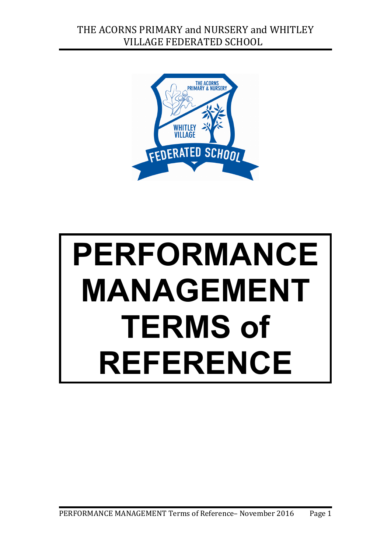

# **PERFORMANCE MANAGEMENT TERMS of REFERENCE**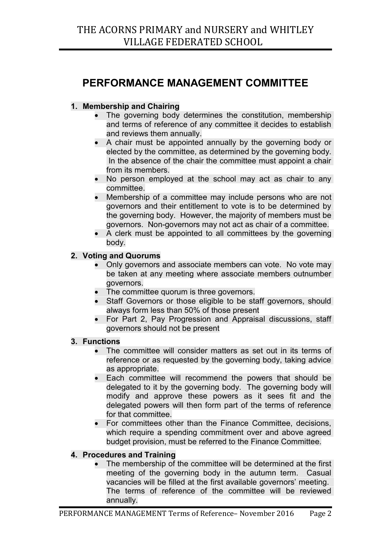# **PERFORMANCE MANAGEMENT COMMITTEE**

## **1. Membership and Chairing**

- The governing body determines the constitution, membership and terms of reference of any committee it decides to establish and reviews them annually.
- A chair must be appointed annually by the governing body or elected by the committee, as determined by the governing body. In the absence of the chair the committee must appoint a chair from its members.
- No person employed at the school may act as chair to any committee.
- Membership of a committee may include persons who are not governors and their entitlement to vote is to be determined by the governing body. However, the majority of members must be governors. Non-governors may not act as chair of a committee.
- A clerk must be appointed to all committees by the governing body.

## **2. Voting and Quorums**

- Only governors and associate members can vote. No vote may be taken at any meeting where associate members outnumber governors.
- The committee quorum is three governors.
- Staff Governors or those eligible to be staff governors, should always form less than 50% of those present
- For Part 2, Pay Progression and Appraisal discussions, staff governors should not be present

#### **3. Functions**

- The committee will consider matters as set out in its terms of reference or as requested by the governing body, taking advice as appropriate.
- Each committee will recommend the powers that should be delegated to it by the governing body. The governing body will modify and approve these powers as it sees fit and the delegated powers will then form part of the terms of reference for that committee
- For committees other than the Finance Committee, decisions, which require a spending commitment over and above agreed budget provision, must be referred to the Finance Committee.

## **4. Procedures and Training**

• The membership of the committee will be determined at the first meeting of the governing body in the autumn term. Casual vacancies will be filled at the first available governors' meeting. The terms of reference of the committee will be reviewed annually.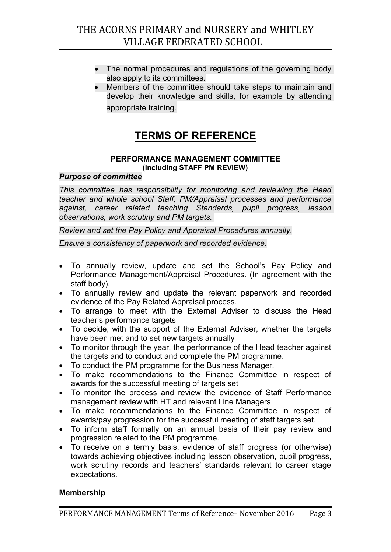- The normal procedures and regulations of the governing body also apply to its committees.
- Members of the committee should take steps to maintain and develop their knowledge and skills, for example by attending appropriate training.

## **TERMS OF REFERENCE**

#### **PERFORMANCE MANAGEMENT COMMITTEE (Including STAFF PM REVIEW)**

## *Purpose of committee*

*This committee has responsibility for monitoring and reviewing the Head teacher and whole school Staff, PM/Appraisal processes and performance against, career related teaching Standards, pupil progress, lesson observations, work scrutiny and PM targets.*

*Review and set the Pay Policy and Appraisal Procedures annually.*

*Ensure a consistency of paperwork and recorded evidence.*

- To annually review, update and set the School's Pay Policy and Performance Management/Appraisal Procedures. (In agreement with the staff body).
- To annually review and update the relevant paperwork and recorded evidence of the Pay Related Appraisal process.
- To arrange to meet with the External Adviser to discuss the Head teacher's performance targets
- To decide, with the support of the External Adviser, whether the targets have been met and to set new targets annually
- To monitor through the year, the performance of the Head teacher against the targets and to conduct and complete the PM programme.
- To conduct the PM programme for the Business Manager.
- To make recommendations to the Finance Committee in respect of awards for the successful meeting of targets set
- To monitor the process and review the evidence of Staff Performance management review with HT and relevant Line Managers
- To make recommendations to the Finance Committee in respect of awards/pay progression for the successful meeting of staff targets set.
- To inform staff formally on an annual basis of their pay review and progression related to the PM programme.
- To receive on a termly basis, evidence of staff progress (or otherwise) towards achieving objectives including lesson observation, pupil progress, work scrutiny records and teachers' standards relevant to career stage expectations.

## **Membership**